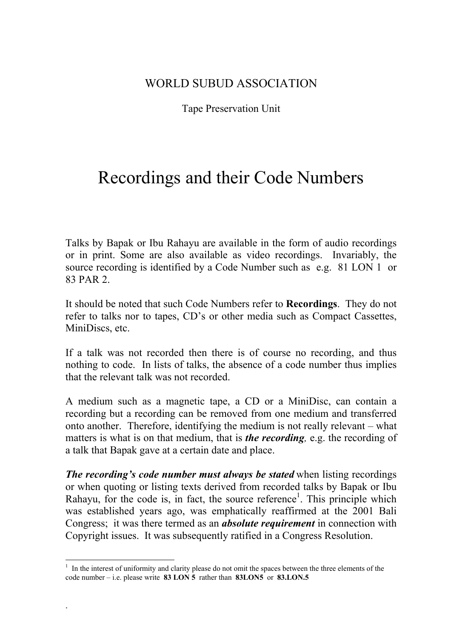## WORLD SUBUD ASSOCIATION

## Tape Preservation Unit

## Recordings and their Code Numbers

Talks by Bapak or Ibu Rahayu are available in the form of audio recordings or in print. Some are also available as video recordings. Invariably, the source recording is identified by a Code Number such as e.g. 81 LON 1 or 83 PAR 2.

It should be noted that such Code Numbers refer to **Recordings**. They do not refer to talks nor to tapes, CD's or other media such as Compact Cassettes, MiniDiscs, etc.

If a talk was not recorded then there is of course no recording, and thus nothing to code. In lists of talks, the absence of a code number thus implies that the relevant talk was not recorded.

A medium such as a magnetic tape, a CD or a MiniDisc, can contain a recording but a recording can be removed from one medium and transferred onto another. Therefore, identifying the medium is not really relevant – what matters is what is on that medium, that is *the recording,* e.g. the recording of a talk that Bapak gave at a certain date and place.

*The recording's code number must always be stated* when listing recordings or when quoting or listing texts derived from recorded talks by Bapak or Ibu Rahayu, for the code is, in fact, the source reference<sup>1</sup>. This principle which was established years ago, was emphatically reaffirmed at the 2001 Bali Congress; it was there termed as an *absolute requirement* in connection with Copyright issues. It was subsequently ratified in a Congress Resolution.

.

 $\overline{a}$ 

<sup>&</sup>lt;sup>1</sup> In the interest of uniformity and clarity please do not omit the spaces between the three elements of the code number – i.e. please write **83 LON 5** rather than **83LON5** or **83.LON.5**